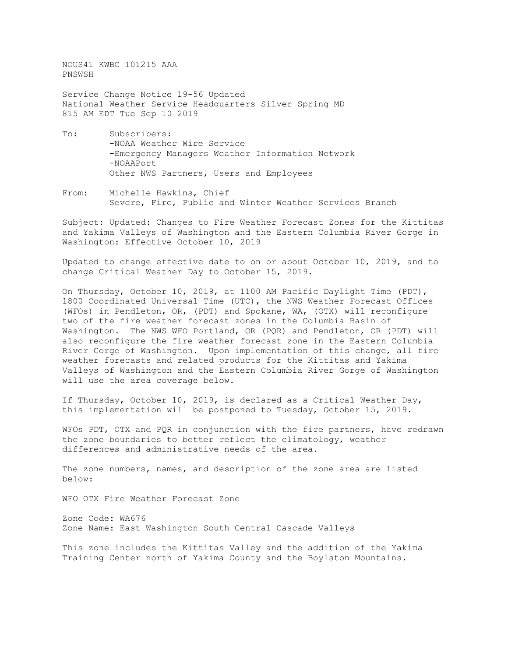NOUS41 KWBC 101215 AAA PNSWSH

Service Change Notice 19-56 Updated National Weather Service Headquarters Silver Spring MD 815 AM EDT Tue Sep 10 2019

- To: Subscribers: -NOAA Weather Wire Service -Emergency Managers Weather Information Network -NOAAPort Other NWS Partners, Users and Employees
- From: Michelle Hawkins, Chief Severe, Fire, Public and Winter Weather Services Branch

Subject: Updated: Changes to Fire Weather Forecast Zones for the Kittitas and Yakima Valleys of Washington and the Eastern Columbia River Gorge in Washington: Effective October 10, 2019

Updated to change effective date to on or about October 10, 2019, and to change Critical Weather Day to October 15, 2019.

On Thursday, October 10, 2019, at 1100 AM Pacific Daylight Time (PDT), 1800 Coordinated Universal Time (UTC), the NWS Weather Forecast Offices (WFOs) in Pendleton, OR, (PDT) and Spokane, WA, (OTX) will reconfigure two of the fire weather forecast zones in the Columbia Basin of Washington. The NWS WFO Portland, OR (PQR) and Pendleton, OR (PDT) will also reconfigure the fire weather forecast zone in the Eastern Columbia River Gorge of Washington. Upon implementation of this change, all fire weather forecasts and related products for the Kittitas and Yakima Valleys of Washington and the Eastern Columbia River Gorge of Washington will use the area coverage below.

If Thursday, October 10, 2019, is declared as a Critical Weather Day, this implementation will be postponed to Tuesday, October 15, 2019.

WFOs PDT, OTX and PQR in conjunction with the fire partners, have redrawn the zone boundaries to better reflect the climatology, weather differences and administrative needs of the area.

The zone numbers, names, and description of the zone area are listed below:

WFO OTX Fire Weather Forecast Zone

Zone Code: WA676 Zone Name: East Washington South Central Cascade Valleys

This zone includes the Kittitas Valley and the addition of the Yakima Training Center north of Yakima County and the Boylston Mountains.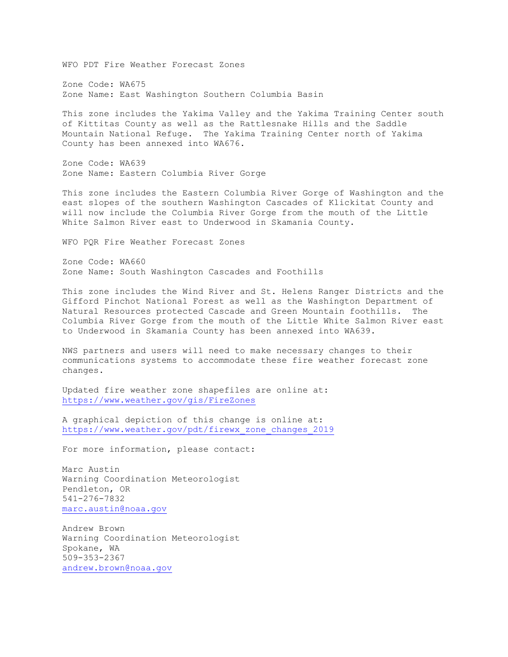WFO PDT Fire Weather Forecast Zones

Zone Code: WA675 Zone Name: East Washington Southern Columbia Basin

This zone includes the Yakima Valley and the Yakima Training Center south of Kittitas County as well as the Rattlesnake Hills and the Saddle Mountain National Refuge. The Yakima Training Center north of Yakima County has been annexed into WA676.

Zone Code: WA639 Zone Name: Eastern Columbia River Gorge

This zone includes the Eastern Columbia River Gorge of Washington and the east slopes of the southern Washington Cascades of Klickitat County and will now include the Columbia River Gorge from the mouth of the Little White Salmon River east to Underwood in Skamania County.

WFO PQR Fire Weather Forecast Zones

Zone Code: WA660 Zone Name: South Washington Cascades and Foothills

This zone includes the Wind River and St. Helens Ranger Districts and the Gifford Pinchot National Forest as well as the Washington Department of Natural Resources protected Cascade and Green Mountain foothills. The Columbia River Gorge from the mouth of the Little White Salmon River east to Underwood in Skamania County has been annexed into WA639.

NWS partners and users will need to make necessary changes to their communications systems to accommodate these fire weather forecast zone changes.

Updated fire weather zone shapefiles are online at: <https://www.weather.gov/gis/FireZones>

A graphical depiction of this change is online at: [https://www.weather.gov/pdt/firewx\\_zone\\_changes\\_2019](https://www.weather.gov/pdt/firewx_zone_changes_2019)

For more information, please contact:

Marc Austin Warning Coordination Meteorologist Pendleton, OR 541-276-7832 [marc.austin@noaa.gov](mailto:marc.austin@noaa.gov)

Andrew Brown Warning Coordination Meteorologist Spokane, WA 509-353-2367 [andrew.brown@noaa.gov](mailto:andrew.brown@noaa.gov)